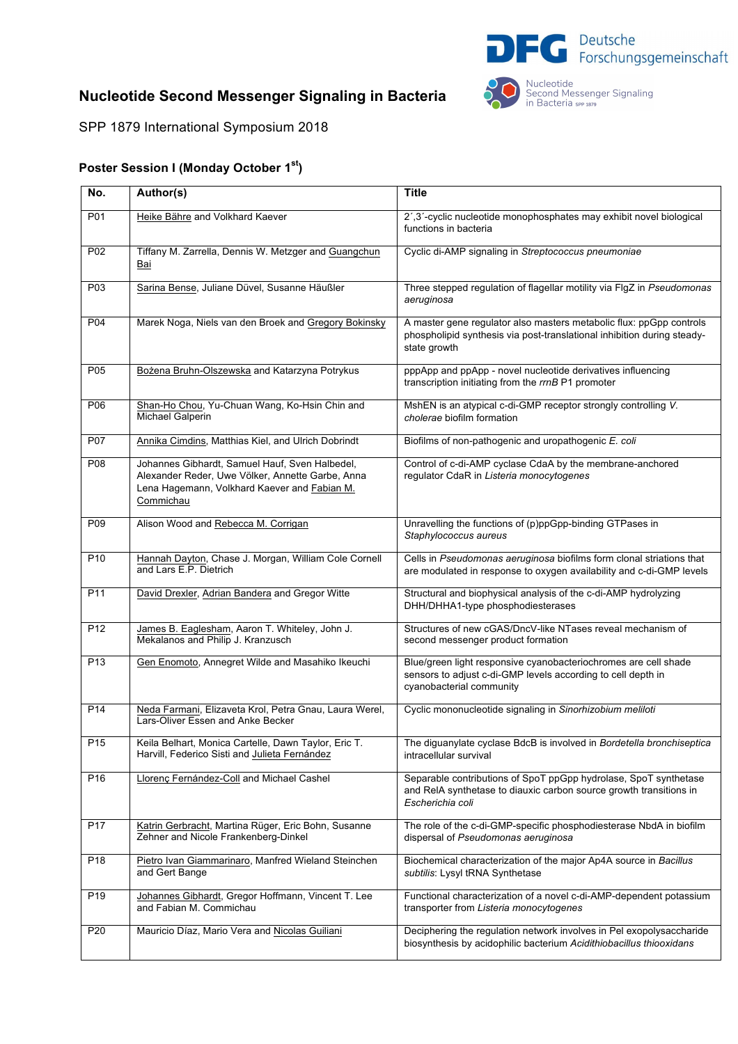

## **Nucleotide Second Messenger Signaling in Bacteria**

Nucleotide<br>Second Messenger Signaling<br>in Bacteria sPP 1879

SPP 1879 International Symposium 2018

## **Poster Session I (Monday October 1st)**

| No.              | Author(s)                                                                                                                                                       | <b>Title</b>                                                                                                                                                   |
|------------------|-----------------------------------------------------------------------------------------------------------------------------------------------------------------|----------------------------------------------------------------------------------------------------------------------------------------------------------------|
| P01              | Heike Bähre and Volkhard Kaever                                                                                                                                 | 2',3'-cyclic nucleotide monophosphates may exhibit novel biological<br>functions in bacteria                                                                   |
| P02              | Tiffany M. Zarrella, Dennis W. Metzger and Guangchun<br>Bai                                                                                                     | Cyclic di-AMP signaling in Streptococcus pneumoniae                                                                                                            |
| P <sub>0</sub> 3 | Sarina Bense, Juliane Düvel, Susanne Häußler                                                                                                                    | Three stepped regulation of flagellar motility via FIgZ in Pseudomonas<br>aeruginosa                                                                           |
| P04              | Marek Noga, Niels van den Broek and Gregory Bokinsky                                                                                                            | A master gene regulator also masters metabolic flux: ppGpp controls<br>phospholipid synthesis via post-translational inhibition during steady-<br>state growth |
| P05              | Bożena Bruhn-Olszewska and Katarzyna Potrykus                                                                                                                   | pppApp and ppApp - novel nucleotide derivatives influencing<br>transcription initiating from the rrnB P1 promoter                                              |
| P06              | Shan-Ho Chou, Yu-Chuan Wang, Ko-Hsin Chin and<br>Michael Galperin                                                                                               | MshEN is an atypical c-di-GMP receptor strongly controlling V.<br>cholerae biofilm formation                                                                   |
| P07              | Annika Cimdins, Matthias Kiel, and Ulrich Dobrindt                                                                                                              | Biofilms of non-pathogenic and uropathogenic E. coli                                                                                                           |
| P08              | Johannes Gibhardt, Samuel Hauf, Sven Halbedel,<br>Alexander Reder, Uwe Völker, Annette Garbe, Anna<br>Lena Hagemann, Volkhard Kaever and Fabian M.<br>Commichau | Control of c-di-AMP cyclase CdaA by the membrane-anchored<br>regulator CdaR in Listeria monocytogenes                                                          |
| P <sub>09</sub>  | Alison Wood and Rebecca M. Corrigan                                                                                                                             | Unravelling the functions of (p)ppGpp-binding GTPases in<br>Staphylococcus aureus                                                                              |
| P <sub>10</sub>  | Hannah Dayton, Chase J. Morgan, William Cole Cornell<br>and Lars E.P. Dietrich                                                                                  | Cells in Pseudomonas aeruginosa biofilms form clonal striations that<br>are modulated in response to oxygen availability and c-di-GMP levels                   |
| P <sub>11</sub>  | David Drexler, Adrian Bandera and Gregor Witte                                                                                                                  | Structural and biophysical analysis of the c-di-AMP hydrolyzing<br>DHH/DHHA1-type phosphodiesterases                                                           |
| P <sub>12</sub>  | James B. Eaglesham, Aaron T. Whiteley, John J.<br>Mekalanos and Philip J. Kranzusch                                                                             | Structures of new cGAS/DncV-like NTases reveal mechanism of<br>second messenger product formation                                                              |
| P <sub>13</sub>  | Gen Enomoto, Annegret Wilde and Masahiko Ikeuchi                                                                                                                | Blue/green light responsive cyanobacteriochromes are cell shade<br>sensors to adjust c-di-GMP levels according to cell depth in<br>cyanobacterial community    |
| P <sub>14</sub>  | Neda Farmani, Elizaveta Krol, Petra Gnau, Laura Werel,<br>Lars-Oliver Essen and Anke Becker                                                                     | Cyclic mononucleotide signaling in Sinorhizobium meliloti                                                                                                      |
| P15              | Keila Belhart, Monica Cartelle, Dawn Taylor, Eric T.<br>Harvill, Federico Sisti and Julieta Fernández                                                           | The diguanylate cyclase BdcB is involved in Bordetella bronchiseptica<br>intracellular survival                                                                |
| P <sub>16</sub>  | Llorenç Fernández-Coll and Michael Cashel                                                                                                                       | Separable contributions of SpoT ppGpp hydrolase, SpoT synthetase<br>and ReIA synthetase to diauxic carbon source growth transitions in<br>Escherichia coli     |
| P <sub>17</sub>  | Katrin Gerbracht, Martina Rüger, Eric Bohn, Susanne<br>Zehner and Nicole Frankenberg-Dinkel                                                                     | The role of the c-di-GMP-specific phosphodiesterase NbdA in biofilm<br>dispersal of Pseudomonas aeruginosa                                                     |
| P <sub>18</sub>  | Pietro Ivan Giammarinaro, Manfred Wieland Steinchen<br>and Gert Bange                                                                                           | Biochemical characterization of the major Ap4A source in Bacillus<br>subtilis: Lysyl tRNA Synthetase                                                           |
| P <sub>19</sub>  | Johannes Gibhardt, Gregor Hoffmann, Vincent T. Lee<br>and Fabian M. Commichau                                                                                   | Functional characterization of a novel c-di-AMP-dependent potassium<br>transporter from Listeria monocytogenes                                                 |
| P <sub>20</sub>  | Mauricio Díaz, Mario Vera and Nicolas Guiliani                                                                                                                  | Deciphering the regulation network involves in Pel exopolysaccharide<br>biosynthesis by acidophilic bacterium Acidithiobacillus thiooxidans                    |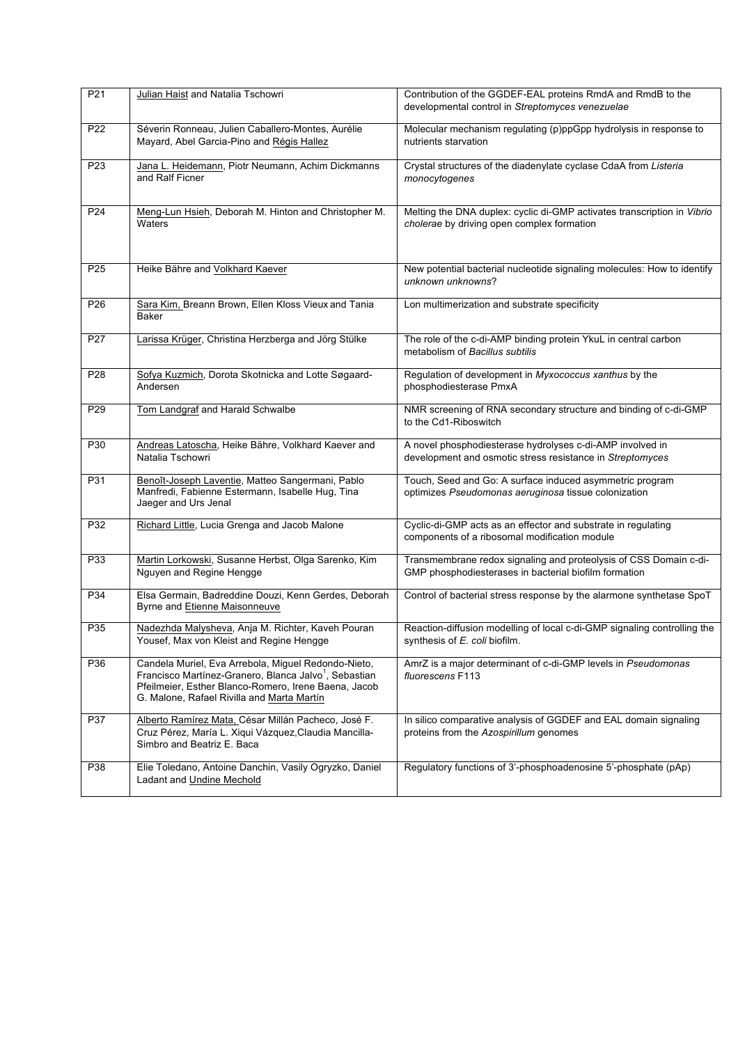| P21             | Julian Haist and Natalia Tschowri                                                                                                                                                                                              | Contribution of the GGDEF-EAL proteins RmdA and RmdB to the<br>developmental control in Streptomyces venezuelae            |
|-----------------|--------------------------------------------------------------------------------------------------------------------------------------------------------------------------------------------------------------------------------|----------------------------------------------------------------------------------------------------------------------------|
| P22             | Séverin Ronneau, Julien Caballero-Montes, Aurélie<br>Mayard, Abel Garcia-Pino and Régis Hallez                                                                                                                                 | Molecular mechanism regulating (p)ppGpp hydrolysis in response to<br>nutrients starvation                                  |
| P23             | Jana L. Heidemann, Piotr Neumann, Achim Dickmanns<br>and Ralf Ficner                                                                                                                                                           | Crystal structures of the diadenylate cyclase CdaA from Listeria<br>monocytogenes                                          |
| P24             | Meng-Lun Hsieh, Deborah M. Hinton and Christopher M.<br>Waters                                                                                                                                                                 | Melting the DNA duplex: cyclic di-GMP activates transcription in Vibrio<br>cholerae by driving open complex formation      |
| P <sub>25</sub> | Heike Bähre and Volkhard Kaever                                                                                                                                                                                                | New potential bacterial nucleotide signaling molecules: How to identify<br>unknown unknowns?                               |
| P <sub>26</sub> | Sara Kim, Breann Brown, Ellen Kloss Vieux and Tania<br><b>Baker</b>                                                                                                                                                            | Lon multimerization and substrate specificity                                                                              |
| P27             | Larissa Krüger, Christina Herzberga and Jörg Stülke                                                                                                                                                                            | The role of the c-di-AMP binding protein YkuL in central carbon<br>metabolism of Bacillus subtilis                         |
| P28             | Sofya Kuzmich, Dorota Skotnicka and Lotte Søgaard-<br>Andersen                                                                                                                                                                 | Regulation of development in Myxococcus xanthus by the<br>phosphodiesterase PmxA                                           |
| P29             | Tom Landgraf and Harald Schwalbe                                                                                                                                                                                               | NMR screening of RNA secondary structure and binding of c-di-GMP<br>to the Cd1-Riboswitch                                  |
| P30             | Andreas Latoscha, Heike Bähre, Volkhard Kaever and<br>Natalia Tschowri                                                                                                                                                         | A novel phosphodiesterase hydrolyses c-di-AMP involved in<br>development and osmotic stress resistance in Streptomyces     |
| P31             | Benoît-Joseph Laventie, Matteo Sangermani, Pablo<br>Manfredi, Fabienne Estermann, Isabelle Hug, Tina<br>Jaeger and Urs Jenal                                                                                                   | Touch, Seed and Go: A surface induced asymmetric program<br>optimizes Pseudomonas aeruginosa tissue colonization           |
| P32             | Richard Little, Lucia Grenga and Jacob Malone                                                                                                                                                                                  | Cyclic-di-GMP acts as an effector and substrate in regulating<br>components of a ribosomal modification module             |
| P33             | Martin Lorkowski, Susanne Herbst, Olga Sarenko, Kim<br>Nguyen and Regine Hengge                                                                                                                                                | Transmembrane redox signaling and proteolysis of CSS Domain c-di-<br>GMP phosphodiesterases in bacterial biofilm formation |
| P34             | Elsa Germain, Badreddine Douzi, Kenn Gerdes, Deborah<br>Byrne and Etienne Maisonneuve                                                                                                                                          | Control of bacterial stress response by the alarmone synthetase SpoT                                                       |
| P35             | Nadezhda Malysheva, Anja M. Richter, Kaveh Pouran<br>Yousef, Max von Kleist and Regine Hengge                                                                                                                                  | Reaction-diffusion modelling of local c-di-GMP signaling controlling the<br>synthesis of E. coli biofilm.                  |
| P36             | Candela Muriel, Eva Arrebola, Miguel Redondo-Nieto,<br>Francisco Martínez-Granero, Blanca Jalvo <sup>1</sup> , Sebastian<br>Pfeilmeier, Esther Blanco-Romero, Irene Baena, Jacob<br>G. Malone, Rafael Rivilla and Marta Martín | AmrZ is a major determinant of c-di-GMP levels in Pseudomonas<br>fluorescens F113                                          |
| P37             | Alberto Ramírez Mata, César Millán Pacheco, José F.<br>Cruz Pérez, María L. Xiqui Vázquez, Claudia Mancilla-<br>Simbro and Beatriz E. Baca                                                                                     | In silico comparative analysis of GGDEF and EAL domain signaling<br>proteins from the Azospirillum genomes                 |
| P38             | Elie Toledano, Antoine Danchin, Vasily Ogryzko, Daniel<br>Ladant and Undine Mechold                                                                                                                                            | Regulatory functions of 3'-phosphoadenosine 5'-phosphate (pAp)                                                             |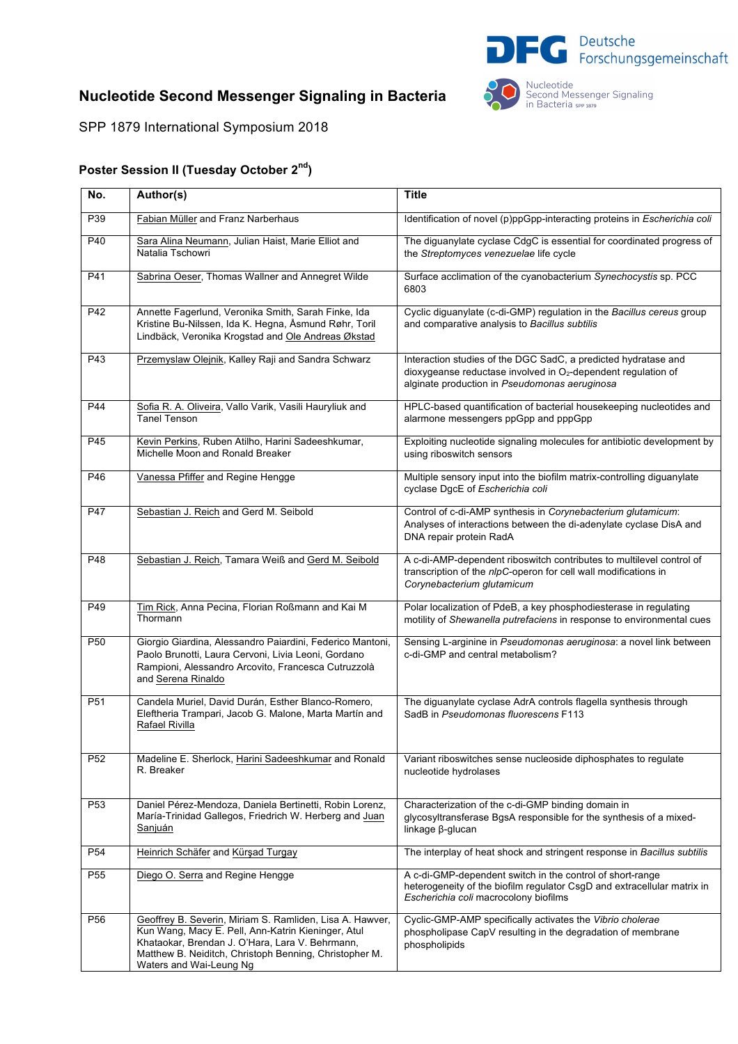

## **Nucleotide Second Messenger Signaling in Bacteria**

Nucleotide<br>Second Messenger Signaling<br>in Bacteria sPP 1879

SPP 1879 International Symposium 2018

## **Poster Session II (Tuesday October 2nd)**

| No.             | Author(s)                                                                                                                                                                                                                                              | <b>Title</b>                                                                                                                                                                       |
|-----------------|--------------------------------------------------------------------------------------------------------------------------------------------------------------------------------------------------------------------------------------------------------|------------------------------------------------------------------------------------------------------------------------------------------------------------------------------------|
| P39             | Fabian Müller and Franz Narberhaus                                                                                                                                                                                                                     | Identification of novel (p)ppGpp-interacting proteins in Escherichia coli                                                                                                          |
| P40             | Sara Alina Neumann, Julian Haist, Marie Elliot and<br>Natalia Tschowri                                                                                                                                                                                 | The diguanylate cyclase CdgC is essential for coordinated progress of<br>the Streptomyces venezuelae life cycle                                                                    |
| P41             | Sabrina Oeser, Thomas Wallner and Annegret Wilde                                                                                                                                                                                                       | Surface acclimation of the cyanobacterium Synechocystis sp. PCC<br>6803                                                                                                            |
| P42             | Annette Fagerlund, Veronika Smith, Sarah Finke, Ida<br>Kristine Bu-Nilssen, Ida K. Hegna, Åsmund Røhr, Toril<br>Lindbäck, Veronika Krogstad and Ole Andreas Økstad                                                                                     | Cyclic diguanylate (c-di-GMP) regulation in the Bacillus cereus group<br>and comparative analysis to Bacillus subtilis                                                             |
| P43             | Przemyslaw Olejnik, Kalley Raji and Sandra Schwarz                                                                                                                                                                                                     | Interaction studies of the DGC SadC, a predicted hydratase and<br>dioxygeanse reductase involved in $O2$ -dependent regulation of<br>alginate production in Pseudomonas aeruginosa |
| P44             | Sofia R. A. Oliveira, Vallo Varik, Vasili Hauryliuk and<br>Tanel Tenson                                                                                                                                                                                | HPLC-based quantification of bacterial housekeeping nucleotides and<br>alarmone messengers ppGpp and pppGpp                                                                        |
| P45             | Kevin Perkins, Ruben Atilho, Harini Sadeeshkumar,<br>Michelle Moon and Ronald Breaker                                                                                                                                                                  | Exploiting nucleotide signaling molecules for antibiotic development by<br>using riboswitch sensors                                                                                |
| P46             | Vanessa Pfiffer and Regine Hengge                                                                                                                                                                                                                      | Multiple sensory input into the biofilm matrix-controlling diguanylate<br>cyclase DgcE of Escherichia coli                                                                         |
| P47             | Sebastian J. Reich and Gerd M. Seibold                                                                                                                                                                                                                 | Control of c-di-AMP synthesis in Corynebacterium glutamicum:<br>Analyses of interactions between the di-adenylate cyclase DisA and<br>DNA repair protein RadA                      |
| P48             | Sebastian J. Reich, Tamara Weiß and Gerd M. Seibold                                                                                                                                                                                                    | A c-di-AMP-dependent riboswitch contributes to multilevel control of<br>transcription of the nlpC-operon for cell wall modifications in<br>Corynebacterium glutamicum              |
| P49             | Tim Rick, Anna Pecina, Florian Roßmann and Kai M<br>Thormann                                                                                                                                                                                           | Polar localization of PdeB, a key phosphodiesterase in regulating<br>motility of Shewanella putrefaciens in response to environmental cues                                         |
| P <sub>50</sub> | Giorgio Giardina, Alessandro Paiardini, Federico Mantoni,<br>Paolo Brunotti, Laura Cervoni, Livia Leoni, Gordano<br>Rampioni, Alessandro Arcovito, Francesca Cutruzzolà<br>and Serena Rinaldo                                                          | Sensing L-arginine in Pseudomonas aeruginosa: a novel link between<br>c-di-GMP and central metabolism?                                                                             |
| P51             | Candela Muriel, David Durán, Esther Blanco-Romero,<br>Eleftheria Trampari, Jacob G. Malone, Marta Martín and<br>Rafael Rivilla                                                                                                                         | The diguanylate cyclase AdrA controls flagella synthesis through<br>SadB in Pseudomonas fluorescens F113                                                                           |
| P <sub>52</sub> | Madeline E. Sherlock, Harini Sadeeshkumar and Ronald<br>R. Breaker                                                                                                                                                                                     | Variant riboswitches sense nucleoside diphosphates to regulate<br>nucleotide hydrolases                                                                                            |
| P <sub>53</sub> | Daniel Pérez-Mendoza, Daniela Bertinetti, Robin Lorenz,<br>María-Trinidad Gallegos, Friedrich W. Herberg and Juan<br>Sanjuán                                                                                                                           | Characterization of the c-di-GMP binding domain in<br>glycosyltransferase BgsA responsible for the synthesis of a mixed-<br>linkage β-glucan                                       |
| P <sub>54</sub> | Heinrich Schäfer and Kürşad Turgay                                                                                                                                                                                                                     | The interplay of heat shock and stringent response in Bacillus subtilis                                                                                                            |
| P <sub>55</sub> | Diego O. Serra and Regine Hengge                                                                                                                                                                                                                       | A c-di-GMP-dependent switch in the control of short-range<br>heterogeneity of the biofilm regulator CsgD and extracellular matrix in<br>Escherichia coli macrocolony biofilms      |
| P <sub>56</sub> | Geoffrey B. Severin, Miriam S. Ramliden, Lisa A. Hawver,<br>Kun Wang, Macy E. Pell, Ann-Katrin Kieninger, Atul<br>Khataokar, Brendan J. O'Hara, Lara V. Behrmann,<br>Matthew B. Neiditch, Christoph Benning, Christopher M.<br>Waters and Wai-Leung Ng | Cyclic-GMP-AMP specifically activates the Vibrio cholerae<br>phospholipase CapV resulting in the degradation of membrane<br>phospholipids                                          |